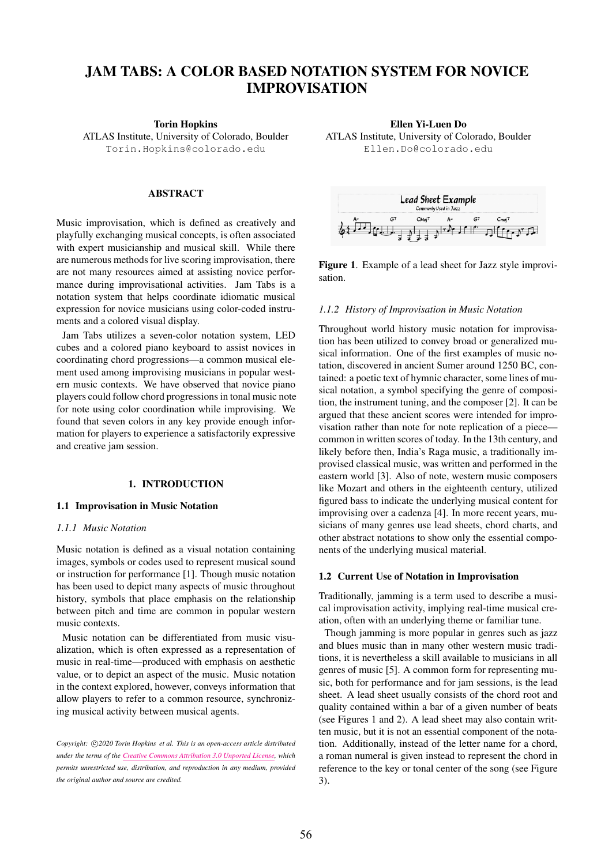# JAM TABS: A COLOR BASED NOTATION SYSTEM FOR NOVICE IMPROVISATION

Torin Hopkins

ATLAS Institute, University of Colorado, Boulder [Torin.Hopkins@colorado.edu](mailto:Torin.Hopkins@colorado.edu)

## ABSTRACT

Music improvisation, which is defined as creatively and playfully exchanging musical concepts, is often associated with expert musicianship and musical skill. While there are numerous methods for live scoring improvisation, there are not many resources aimed at assisting novice performance during improvisational activities. Jam Tabs is a notation system that helps coordinate idiomatic musical expression for novice musicians using color-coded instruments and a colored visual display.

Jam Tabs utilizes a seven-color notation system, LED cubes and a colored piano keyboard to assist novices in coordinating chord progressions—a common musical element used among improvising musicians in popular western music contexts. We have observed that novice piano players could follow chord progressions in tonal music note for note using color coordination while improvising. We found that seven colors in any key provide enough information for players to experience a satisfactorily expressive and creative jam session.

#### 1. INTRODUCTION

#### 1.1 Improvisation in Music Notation

#### *1.1.1 Music Notation*

Music notation is defined as a visual notation containing images, symbols or codes used to represent musical sound or instruction for performance [1]. Though music notation has been used to depict many aspects of music throughout history, symbols that place emphasis on the relationship between pitch and time are common in popular western music contexts.

Music notation can be differentiated from music visualization, which is often expressed as a representation of music in real-time—produced with emphasis on aesthetic value, or to depict an aspect of the music. Music notation in the context explored, however, conveys information that allow players to refer to a common resource, synchronizing musical activity between musical agents.

Ellen Yi-Luen Do ATLAS Institute, University of Colorado, Boulder [Ellen.Do@colorado.edu](mailto:Ellen.Do@colorado.edu)



Figure 1. Example of a lead sheet for Jazz style improvisation.

#### *1.1.2 History of Improvisation in Music Notation*

Throughout world history music notation for improvisation has been utilized to convey broad or generalized musical information. One of the first examples of music notation, discovered in ancient Sumer around 1250 BC, contained: a poetic text of hymnic character, some lines of musical notation, a symbol specifying the genre of composition, the instrument tuning, and the composer [2]. It can be argued that these ancient scores were intended for improvisation rather than note for note replication of a piece common in written scores of today. In the 13th century, and likely before then, India's Raga music, a traditionally improvised classical music, was written and performed in the eastern world [3]. Also of note, western music composers like Mozart and others in the eighteenth century, utilized figured bass to indicate the underlying musical content for improvising over a cadenza [4]. In more recent years, musicians of many genres use lead sheets, chord charts, and other abstract notations to show only the essential components of the underlying musical material.

#### 1.2 Current Use of Notation in Improvisation

Traditionally, jamming is a term used to describe a musical improvisation activity, implying real-time musical creation, often with an underlying theme or familiar tune.

Though jamming is more popular in genres such as jazz and blues music than in many other western music traditions, it is nevertheless a skill available to musicians in all genres of music [5]. A common form for representing music, both for performance and for jam sessions, is the lead sheet. A lead sheet usually consists of the chord root and quality contained within a bar of a given number of beats (see Figures 1 and 2). A lead sheet may also contain written music, but it is not an essential component of the notation. Additionally, instead of the letter name for a chord, a roman numeral is given instead to represent the chord in reference to the key or tonal center of the song (see Figure 3).

Copyright:  $\bigcirc$ 2020 Torin Hopkins et al. This is an open-access article distributed *under the terms of the [Creative Commons Attribution 3.0 Unported License,](http://creativecommons.org/licenses/by/3.0/) which permits unrestricted use, distribution, and reproduction in any medium, provided the original author and source are credited.*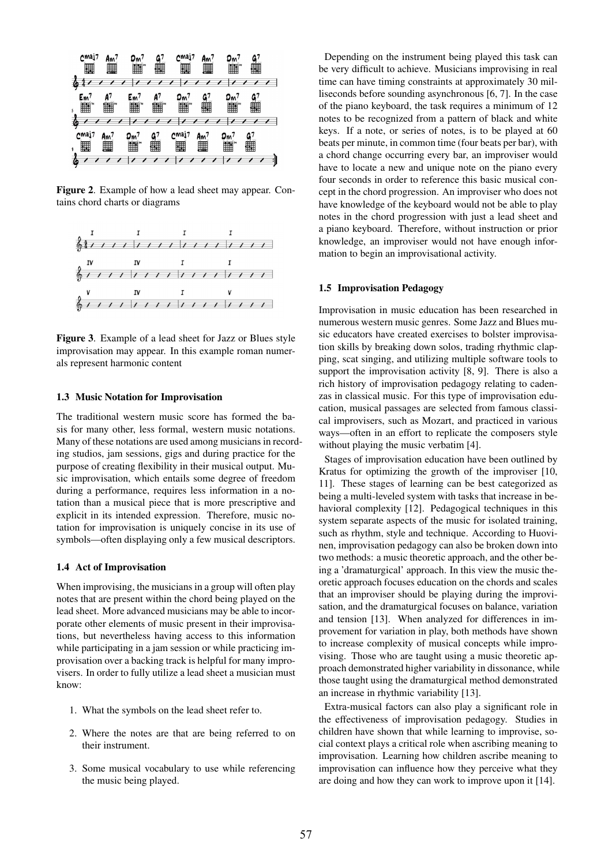

Figure 2. Example of how a lead sheet may appear. Contains chord charts or diagrams



Figure 3. Example of a lead sheet for Jazz or Blues style improvisation may appear. In this example roman numerals represent harmonic content

## 1.3 Music Notation for Improvisation

The traditional western music score has formed the basis for many other, less formal, western music notations. Many of these notations are used among musicians in recording studios, jam sessions, gigs and during practice for the purpose of creating flexibility in their musical output. Music improvisation, which entails some degree of freedom during a performance, requires less information in a notation than a musical piece that is more prescriptive and explicit in its intended expression. Therefore, music notation for improvisation is uniquely concise in its use of symbols—often displaying only a few musical descriptors.

#### 1.4 Act of Improvisation

When improvising, the musicians in a group will often play notes that are present within the chord being played on the lead sheet. More advanced musicians may be able to incorporate other elements of music present in their improvisations, but nevertheless having access to this information while participating in a jam session or while practicing improvisation over a backing track is helpful for many improvisers. In order to fully utilize a lead sheet a musician must know:

- 1. What the symbols on the lead sheet refer to.
- 2. Where the notes are that are being referred to on their instrument.
- 3. Some musical vocabulary to use while referencing the music being played.

Depending on the instrument being played this task can be very difficult to achieve. Musicians improvising in real time can have timing constraints at approximately 30 milliseconds before sounding asynchronous [6, 7]. In the case of the piano keyboard, the task requires a minimum of 12 notes to be recognized from a pattern of black and white keys. If a note, or series of notes, is to be played at 60 beats per minute, in common time (four beats per bar), with a chord change occurring every bar, an improviser would have to locate a new and unique note on the piano every four seconds in order to reference this basic musical concept in the chord progression. An improviser who does not have knowledge of the keyboard would not be able to play notes in the chord progression with just a lead sheet and a piano keyboard. Therefore, without instruction or prior knowledge, an improviser would not have enough information to begin an improvisational activity.

## 1.5 Improvisation Pedagogy

Improvisation in music education has been researched in numerous western music genres. Some Jazz and Blues music educators have created exercises to bolster improvisation skills by breaking down solos, trading rhythmic clapping, scat singing, and utilizing multiple software tools to support the improvisation activity [8, 9]. There is also a rich history of improvisation pedagogy relating to cadenzas in classical music. For this type of improvisation education, musical passages are selected from famous classical improvisers, such as Mozart, and practiced in various ways—often in an effort to replicate the composers style without playing the music verbatim [4].

Stages of improvisation education have been outlined by Kratus for optimizing the growth of the improviser [10, 11]. These stages of learning can be best categorized as being a multi-leveled system with tasks that increase in behavioral complexity [12]. Pedagogical techniques in this system separate aspects of the music for isolated training, such as rhythm, style and technique. According to Huovinen, improvisation pedagogy can also be broken down into two methods: a music theoretic approach, and the other being a 'dramaturgical' approach. In this view the music theoretic approach focuses education on the chords and scales that an improviser should be playing during the improvisation, and the dramaturgical focuses on balance, variation and tension [13]. When analyzed for differences in improvement for variation in play, both methods have shown to increase complexity of musical concepts while improvising. Those who are taught using a music theoretic approach demonstrated higher variability in dissonance, while those taught using the dramaturgical method demonstrated an increase in rhythmic variability [13].

Extra-musical factors can also play a significant role in the effectiveness of improvisation pedagogy. Studies in children have shown that while learning to improvise, social context plays a critical role when ascribing meaning to improvisation. Learning how children ascribe meaning to improvisation can influence how they perceive what they are doing and how they can work to improve upon it [14].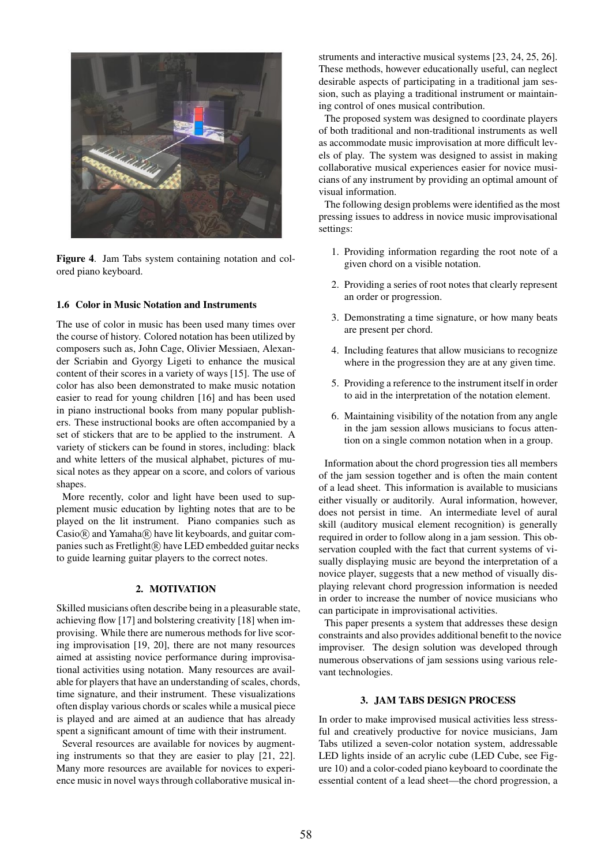

Figure 4. Jam Tabs system containing notation and colored piano keyboard.

## 1.6 Color in Music Notation and Instruments

The use of color in music has been used many times over the course of history. Colored notation has been utilized by composers such as, John Cage, Olivier Messiaen, Alexander Scriabin and Gyorgy Ligeti to enhance the musical content of their scores in a variety of ways [15]. The use of color has also been demonstrated to make music notation easier to read for young children [16] and has been used in piano instructional books from many popular publishers. These instructional books are often accompanied by a set of stickers that are to be applied to the instrument. A variety of stickers can be found in stores, including: black and white letters of the musical alphabet, pictures of musical notes as they appear on a score, and colors of various shapes.

More recently, color and light have been used to supplement music education by lighting notes that are to be played on the lit instrument. Piano companies such as  $\text{Casio}(\overline{R})$  and  $\text{Yamaha}(\overline{R})$  have lit keyboards, and guitar companies such as Fretlight(R) have LED embedded guitar necks to guide learning guitar players to the correct notes.

## 2. MOTIVATION

Skilled musicians often describe being in a pleasurable state, achieving flow [17] and bolstering creativity [18] when improvising. While there are numerous methods for live scoring improvisation [19, 20], there are not many resources aimed at assisting novice performance during improvisational activities using notation. Many resources are available for players that have an understanding of scales, chords, time signature, and their instrument. These visualizations often display various chords or scales while a musical piece is played and are aimed at an audience that has already spent a significant amount of time with their instrument.

Several resources are available for novices by augmenting instruments so that they are easier to play [21, 22]. Many more resources are available for novices to experience music in novel ways through collaborative musical instruments and interactive musical systems [23, 24, 25, 26]. These methods, however educationally useful, can neglect desirable aspects of participating in a traditional jam session, such as playing a traditional instrument or maintaining control of ones musical contribution.

The proposed system was designed to coordinate players of both traditional and non-traditional instruments as well as accommodate music improvisation at more difficult levels of play. The system was designed to assist in making collaborative musical experiences easier for novice musicians of any instrument by providing an optimal amount of visual information.

The following design problems were identified as the most pressing issues to address in novice music improvisational settings:

- 1. Providing information regarding the root note of a given chord on a visible notation.
- 2. Providing a series of root notes that clearly represent an order or progression.
- 3. Demonstrating a time signature, or how many beats are present per chord.
- 4. Including features that allow musicians to recognize where in the progression they are at any given time.
- 5. Providing a reference to the instrument itself in order to aid in the interpretation of the notation element.
- 6. Maintaining visibility of the notation from any angle in the jam session allows musicians to focus attention on a single common notation when in a group.

Information about the chord progression ties all members of the jam session together and is often the main content of a lead sheet. This information is available to musicians either visually or auditorily. Aural information, however, does not persist in time. An intermediate level of aural skill (auditory musical element recognition) is generally required in order to follow along in a jam session. This observation coupled with the fact that current systems of visually displaying music are beyond the interpretation of a novice player, suggests that a new method of visually displaying relevant chord progression information is needed in order to increase the number of novice musicians who can participate in improvisational activities.

This paper presents a system that addresses these design constraints and also provides additional benefit to the novice improviser. The design solution was developed through numerous observations of jam sessions using various relevant technologies.

#### 3. JAM TABS DESIGN PROCESS

In order to make improvised musical activities less stressful and creatively productive for novice musicians, Jam Tabs utilized a seven-color notation system, addressable LED lights inside of an acrylic cube (LED Cube, see Figure 10) and a color-coded piano keyboard to coordinate the essential content of a lead sheet—the chord progression, a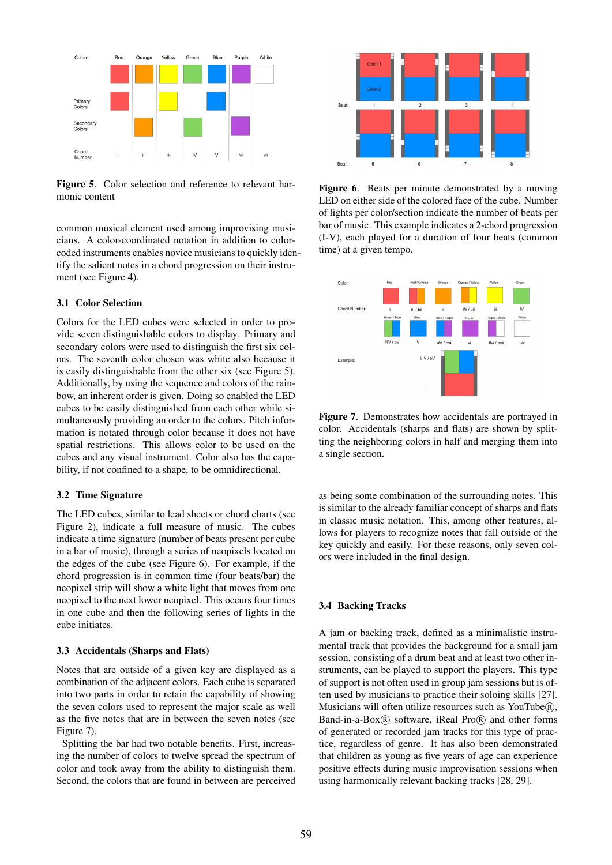

Figure 5. Color selection and reference to relevant harmonic content

common musical element used among improvising musicians. A color-coordinated notation in addition to colorcoded instruments enables novice musicians to quickly identify the salient notes in a chord progression on their instrument (see Figure 4).

## 3.1 Color Selection

Colors for the LED cubes were selected in order to provide seven distinguishable colors to display. Primary and secondary colors were used to distinguish the first six colors. The seventh color chosen was white also because it is easily distinguishable from the other six (see Figure 5). Additionally, by using the sequence and colors of the rainbow, an inherent order is given. Doing so enabled the LED cubes to be easily distinguished from each other while simultaneously providing an order to the colors. Pitch information is notated through color because it does not have spatial restrictions. This allows color to be used on the cubes and any visual instrument. Color also has the capability, if not confined to a shape, to be omnidirectional.

## 3.2 Time Signature

The LED cubes, similar to lead sheets or chord charts (see Figure 2), indicate a full measure of music. The cubes indicate a time signature (number of beats present per cube in a bar of music), through a series of neopixels located on the edges of the cube (see Figure 6). For example, if the chord progression is in common time (four beats/bar) the neopixel strip will show a white light that moves from one neopixel to the next lower neopixel. This occurs four times in one cube and then the following series of lights in the cube initiates.

#### 3.3 Accidentals (Sharps and Flats)

Notes that are outside of a given key are displayed as a combination of the adjacent colors. Each cube is separated into two parts in order to retain the capability of showing the seven colors used to represent the major scale as well as the five notes that are in between the seven notes (see Figure 7).

Splitting the bar had two notable benefits. First, increasing the number of colors to twelve spread the spectrum of color and took away from the ability to distinguish them. Second, the colors that are found in between are perceived



Figure 6. Beats per minute demonstrated by a moving LED on either side of the colored face of the cube. Number of lights per color/section indicate the number of beats per bar of music. This example indicates a 2-chord progression (I-V), each played for a duration of four beats (common time) at a given tempo.



Figure 7. Demonstrates how accidentals are portrayed in color. Accidentals (sharps and flats) are shown by splitting the neighboring colors in half and merging them into a single section.

as being some combination of the surrounding notes. This is similar to the already familiar concept of sharps and flats in classic music notation. This, among other features, allows for players to recognize notes that fall outside of the key quickly and easily. For these reasons, only seven colors were included in the final design.

## 3.4 Backing Tracks

A jam or backing track, defined as a minimalistic instrumental track that provides the background for a small jam session, consisting of a drum beat and at least two other instruments, can be played to support the players. This type of support is not often used in group jam sessions but is often used by musicians to practice their soloing skills [27]. Musicians will often utilize resources such as YouTube(R), Band-in-a-Box $(\overline{R})$  software, iReal Pro $(\overline{R})$  and other forms of generated or recorded jam tracks for this type of practice, regardless of genre. It has also been demonstrated that children as young as five years of age can experience positive effects during music improvisation sessions when using harmonically relevant backing tracks [28, 29].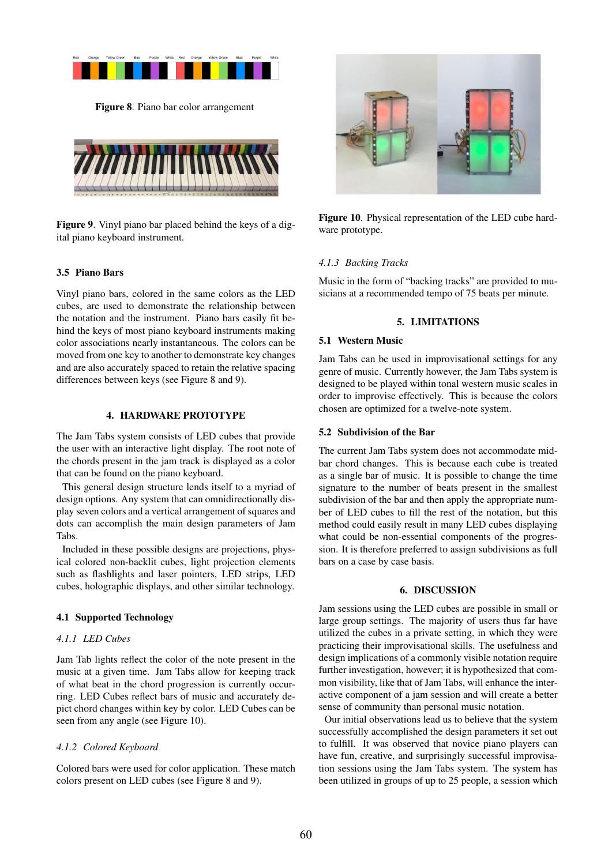

Figure 8. Piano bar color arrangement



Figure 9. Vinyl piano bar placed behind the keys of a digital piano keyboard instrument.

# 3.5 Piano Bars

Vinyl piano bars, colored in the same colors as the LED cubes, are used to demonstrate the relationship between the notation and the instrument. Piano bars easily fit behind the keys of most piano keyboard instruments making color associations nearly instantaneous. The colors can be moved from one key to another to demonstrate key changes and are also accurately spaced to retain the relative spacing differences between keys (see Figure 8 and 9).

## 4. HARDWARE PROTOTYPE

The Jam Tabs system consists of LED cubes that provide the user with an interactive light display. The root note of the chords present in the jam track is displayed as a color that can be found on the piano keyboard.

This general design structure lends itself to a myriad of design options. Any system that can omnidirectionally display seven colors and a vertical arrangement of squares and dots can accomplish the main design parameters of Jam Tabs.

Included in these possible designs are projections, physical colored non-backlit cubes, light projection elements such as flashlights and laser pointers, LED strips, LED cubes, holographic displays, and other similar technology.

## 4.1 Supported Technology

# *4.1.1 LED Cubes*

Jam Tab lights reflect the color of the note present in the music at a given time. Jam Tabs allow for keeping track of what beat in the chord progression is currently occurring. LED Cubes reflect bars of music and accurately depict chord changes within key by color. LED Cubes can be seen from any angle (see Figure 10).

# *4.1.2 Colored Keyboard*

Colored bars were used for color application. These match colors present on LED cubes (see Figure 8 and 9).



Figure 10. Physical representation of the LED cube hardware prototype.

# *4.1.3 Backing Tracks*

Music in the form of "backing tracks" are provided to musicians at a recommended tempo of 75 beats per minute.

## 5. LIMITATIONS

## 5.1 Western Music

Jam Tabs can be used in improvisational settings for any genre of music. Currently however, the Jam Tabs system is designed to be played within tonal western music scales in order to improvise effectively. This is because the colors chosen are optimized for a twelve-note system.

## 5.2 Subdivision of the Bar

The current Jam Tabs system does not accommodate midbar chord changes. This is because each cube is treated as a single bar of music. It is possible to change the time signature to the number of beats present in the smallest subdivision of the bar and then apply the appropriate number of LED cubes to fill the rest of the notation, but this method could easily result in many LED cubes displaying what could be non-essential components of the progression. It is therefore preferred to assign subdivisions as full bars on a case by case basis.

# 6. DISCUSSION

Jam sessions using the LED cubes are possible in small or large group settings. The majority of users thus far have utilized the cubes in a private setting, in which they were practicing their improvisational skills. The usefulness and design implications of a commonly visible notation require further investigation, however; it is hypothesized that common visibility, like that of Jam Tabs, will enhance the interactive component of a jam session and will create a better sense of community than personal music notation.

Our initial observations lead us to believe that the system successfully accomplished the design parameters it set out to fulfill. It was observed that novice piano players can have fun, creative, and surprisingly successful improvisation sessions using the Jam Tabs system. The system has been utilized in groups of up to 25 people, a session which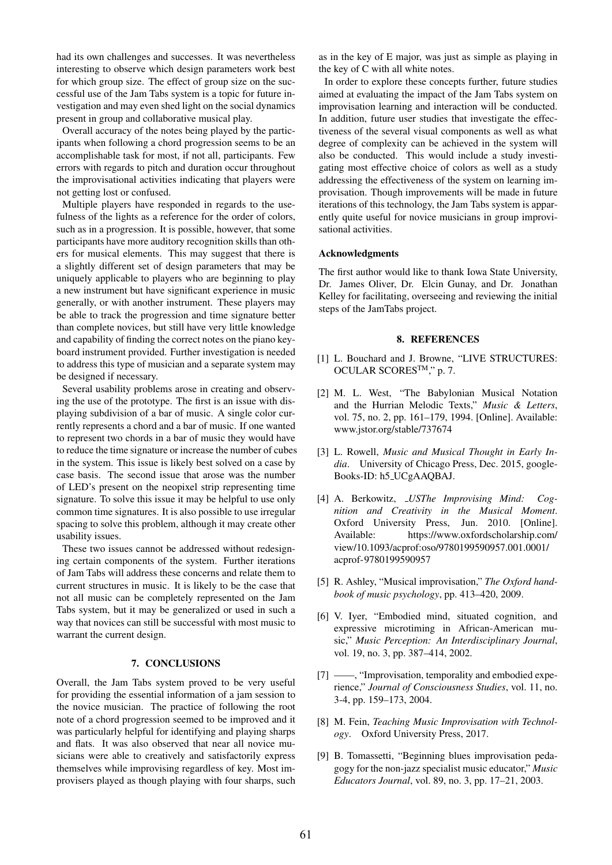had its own challenges and successes. It was nevertheless interesting to observe which design parameters work best for which group size. The effect of group size on the successful use of the Jam Tabs system is a topic for future investigation and may even shed light on the social dynamics present in group and collaborative musical play.

Overall accuracy of the notes being played by the participants when following a chord progression seems to be an accomplishable task for most, if not all, participants. Few errors with regards to pitch and duration occur throughout the improvisational activities indicating that players were not getting lost or confused.

Multiple players have responded in regards to the usefulness of the lights as a reference for the order of colors, such as in a progression. It is possible, however, that some participants have more auditory recognition skills than others for musical elements. This may suggest that there is a slightly different set of design parameters that may be uniquely applicable to players who are beginning to play a new instrument but have significant experience in music generally, or with another instrument. These players may be able to track the progression and time signature better than complete novices, but still have very little knowledge and capability of finding the correct notes on the piano keyboard instrument provided. Further investigation is needed to address this type of musician and a separate system may be designed if necessary.

Several usability problems arose in creating and observing the use of the prototype. The first is an issue with displaying subdivision of a bar of music. A single color currently represents a chord and a bar of music. If one wanted to represent two chords in a bar of music they would have to reduce the time signature or increase the number of cubes in the system. This issue is likely best solved on a case by case basis. The second issue that arose was the number of LED's present on the neopixel strip representing time signature. To solve this issue it may be helpful to use only common time signatures. It is also possible to use irregular spacing to solve this problem, although it may create other usability issues.

These two issues cannot be addressed without redesigning certain components of the system. Further iterations of Jam Tabs will address these concerns and relate them to current structures in music. It is likely to be the case that not all music can be completely represented on the Jam Tabs system, but it may be generalized or used in such a way that novices can still be successful with most music to warrant the current design.

#### 7. CONCLUSIONS

Overall, the Jam Tabs system proved to be very useful for providing the essential information of a jam session to the novice musician. The practice of following the root note of a chord progression seemed to be improved and it was particularly helpful for identifying and playing sharps and flats. It was also observed that near all novice musicians were able to creatively and satisfactorily express themselves while improvising regardless of key. Most improvisers played as though playing with four sharps, such as in the key of E major, was just as simple as playing in the key of C with all white notes.

In order to explore these concepts further, future studies aimed at evaluating the impact of the Jam Tabs system on improvisation learning and interaction will be conducted. In addition, future user studies that investigate the effectiveness of the several visual components as well as what degree of complexity can be achieved in the system will also be conducted. This would include a study investigating most effective choice of colors as well as a study addressing the effectiveness of the system on learning improvisation. Though improvements will be made in future iterations of this technology, the Jam Tabs system is apparently quite useful for novice musicians in group improvisational activities.

## Acknowledgments

The first author would like to thank Iowa State University, Dr. James Oliver, Dr. Elcin Gunay, and Dr. Jonathan Kelley for facilitating, overseeing and reviewing the initial steps of the JamTabs project.

#### 8. REFERENCES

- [1] L. Bouchard and J. Browne, "LIVE STRUCTURES: OCULAR SCORESTM," p. 7.
- [2] M. L. West, "The Babylonian Musical Notation and the Hurrian Melodic Texts," *Music & Letters*, vol. 75, no. 2, pp. 161–179, 1994. [Online]. Available: <www.jstor.org/stable/737674>
- [3] L. Rowell, *Music and Musical Thought in Early India*. University of Chicago Press, Dec. 2015, google-Books-ID: h5 UCgAAQBAJ.
- [4] A. Berkowitz, *USThe Improvising Mind: Cognition and Creativity in the Musical Moment*. Oxford University Press, Jun. 2010. [Online]. Available: [https://www.oxfordscholarship.com/](https://www.oxfordscholarship.com/view/10.1093/acprof:oso/9780199590957.001.0001/acprof-9780199590957) [view/10.1093/acprof:oso/9780199590957.001.0001/](https://www.oxfordscholarship.com/view/10.1093/acprof:oso/9780199590957.001.0001/acprof-9780199590957) [acprof-9780199590957](https://www.oxfordscholarship.com/view/10.1093/acprof:oso/9780199590957.001.0001/acprof-9780199590957)
- [5] R. Ashley, "Musical improvisation," *The Oxford handbook of music psychology*, pp. 413–420, 2009.
- [6] V. Iyer, "Embodied mind, situated cognition, and expressive microtiming in African-American music," *Music Perception: An Interdisciplinary Journal*, vol. 19, no. 3, pp. 387–414, 2002.
- [7] ——, "Improvisation, temporality and embodied experience," *Journal of Consciousness Studies*, vol. 11, no. 3-4, pp. 159–173, 2004.
- [8] M. Fein, *Teaching Music Improvisation with Technology*. Oxford University Press, 2017.
- [9] B. Tomassetti, "Beginning blues improvisation pedagogy for the non-jazz specialist music educator," *Music Educators Journal*, vol. 89, no. 3, pp. 17–21, 2003.